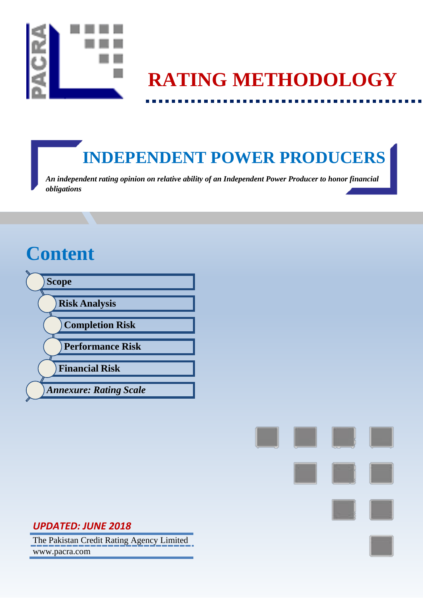

# **RATING METHODOLOGY**

# **INDEPENDENT POWER PRODUCERS**

*An independent rating opinion on relative ability of an Independent Power Producer to honor financial obligations*

# **Content**





# *UPDATED: JUNE 2018*

The Pakistan Credit Rating Agency Limited www.pacra.com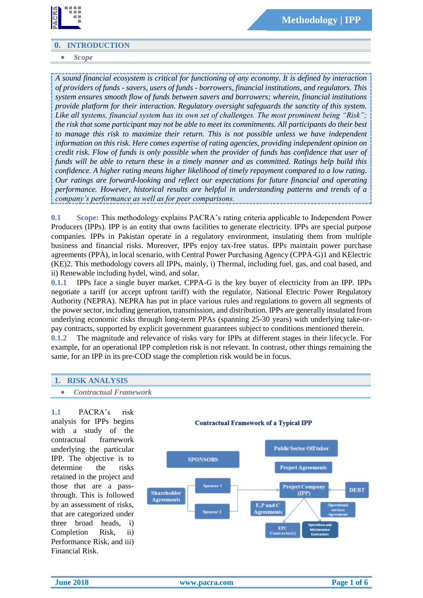

### **0. INTRODUCTION**

#### *Scope*

*A sound financial ecosystem is critical for functioning of any economy. It is defined by interaction of providers of funds - savers, users of funds - borrowers, financial institutions, and regulators. This system ensures smooth flow of funds between savers and borrowers; wherein, financial institutions provide platform for their interaction. Regulatory oversight safeguards the sanctity of this system. Like all systems, financial system has its own set of challenges. The most prominent being "Risk"; the risk that some participant may not be able to meet its commitments. All participants do their best to manage this risk to maximize their return. This is not possible unless we have independent information on this risk. Here comes expertise of rating agencies, providing independent opinion on credit risk. Flow of funds is only possible when the provider of funds has confidence that user of funds will be able to return these in a timely manner and as committed. Ratings help build this confidence. A higher rating means higher likelihood of timely repayment compared to a low rating. Our ratings are forward-looking and reflect our expectations for future financial and operating performance. However, historical results are helpful in understanding patterns and trends of a company's performance as well as for peer comparisons.*

**0.1 Scope:** This methodology explains PACRA's rating criteria applicable to Independent Power Producers (IPPs). IPP is an entity that owns facilities to generate electricity. IPPs are special purpose companies. IPPs in Pakistan operate in a regulatory environment, insulating them from multiple business and financial risks. Moreover, IPPs enjoy tax-free status. IPPs maintain power purchase agreements (PPA), in local scenario, with Central Power Purchasing Agency (CPPA-G)1 and KElectric (KE)2. This methodology covers all IPPs, mainly, i) Thermal, including fuel, gas, and coal based, and ii) Renewable including hydel, wind, and solar.

**0.1.1** IPPs face a single buyer market. CPPA-G is the key buyer of electricity from an IPP. IPPs negotiate a tariff (or accept upfront tariff) with the regulator, National Electric Power Regulatory Authority (NEPRA). NEPRA has put in place various rules and regulations to govern all segments of the power sector, including generation, transmission, and distribution. IPPs are generally insulated from underlying economic risks through long-term PPAs (spanning 25-30 years) with underlying take-orpay contracts, supported by explicit government guarantees subject to conditions mentioned therein.

**0.1.2** The magnitude and relevance of risks vary for IPPs at different stages in their lifecycle. For example, for an operational IPP completion risk is not relevant. In contrast, other things remaining the same, for an IPP in its pre-COD stage the completion risk would be in focus.

### **1. RISK ANALYSIS**

*Contractual Framework*

**1.1** PACRA's risk analysis for IPPs begins with a study of the contractual framework underlying the particular IPP. The objective is to determine the risks retained in the project and those that are a passthrough. This is followed by an assessment of risks, that are categorized under three broad heads, i) Completion Risk, ii) Performance Risk, and iii) Financial Risk.

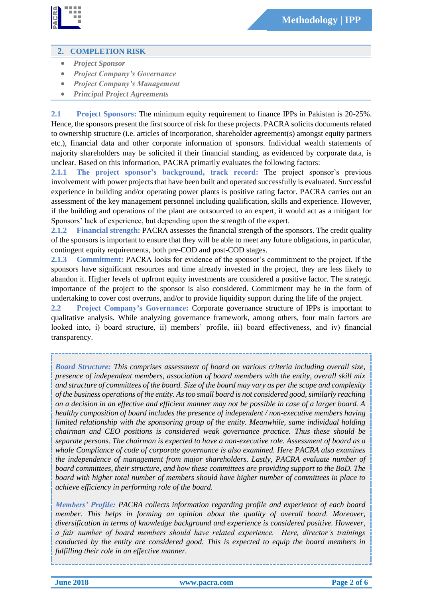

## **2. COMPLETION RISK**

- *Project Sponsor*
- *Project Company's Governance*
- *Project Company's Management*
- *Principal Project Agreements*

**2.1 Project Sponsors:** The minimum equity requirement to finance IPPs in Pakistan is 20-25%. Hence, the sponsors present the first source of risk for these projects. PACRA solicits documents related to ownership structure (i.e. articles of incorporation, shareholder agreement(s) amongst equity partners etc.), financial data and other corporate information of sponsors. Individual wealth statements of majority shareholders may be solicited if their financial standing, as evidenced by corporate data, is unclear. Based on this information, PACRA primarily evaluates the following factors:

**2.1.1 The project sponsor's background, track record:** The project sponsor's previous involvement with power projects that have been built and operated successfully is evaluated. Successful experience in building and/or operating power plants is positive rating factor. PACRA carries out an assessment of the key management personnel including qualification, skills and experience. However, if the building and operations of the plant are outsourced to an expert, it would act as a mitigant for Sponsors' lack of experience, but depending upon the strength of the expert.

**2.1.2 Financial strength:** PACRA assesses the financial strength of the sponsors. The credit quality of the sponsors is important to ensure that they will be able to meet any future obligations, in particular, contingent equity requirements, both pre-COD and post-COD stages.

**2.1.3 Commitment:** PACRA looks for evidence of the sponsor's commitment to the project. If the sponsors have significant resources and time already invested in the project, they are less likely to abandon it. Higher levels of upfront equity investments are considered a positive factor. The strategic importance of the project to the sponsor is also considered. Commitment may be in the form of undertaking to cover cost overruns, and/or to provide liquidity support during the life of the project.

**2.2 Project Company's Governance:** Corporate governance structure of IPPs is important to qualitative analysis. While analyzing governance framework, among others, four main factors are looked into, i) board structure, ii) members' profile, iii) board effectiveness, and iv) financial transparency.

*Board Structure: This comprises assessment of board on various criteria including overall size, presence of independent members, association of board members with the entity, overall skill mix and structure of committees of the board. Size of the board may vary as per the scope and complexity of the business operations of the entity. As too small board is not considered good, similarly reaching on a decision in an effective and efficient manner may not be possible in case of a larger board. A healthy composition of board includes the presence of independent / non-executive members having limited relationship with the sponsoring group of the entity. Meanwhile, same individual holding chairman and CEO positions is considered weak governance practice. Thus these should be separate persons. The chairman is expected to have a non-executive role. Assessment of board as a whole Compliance of code of corporate governance is also examined. Here PACRA also examines the independence of management from major shareholders. Lastly, PACRA evaluate number of board committees, their structure, and how these committees are providing support to the BoD. The board with higher total number of members should have higher number of committees in place to achieve efficiency in performing role of the board.*

*Members' Profile: PACRA collects information regarding profile and experience of each board member. This helps in forming an opinion about the quality of overall board. Moreover, diversification in terms of knowledge background and experience is considered positive. However, a fair number of board members should have related experience. Here, director's trainings conducted by the entity are considered good. This is expected to equip the board members in fulfilling their role in an effective manner.*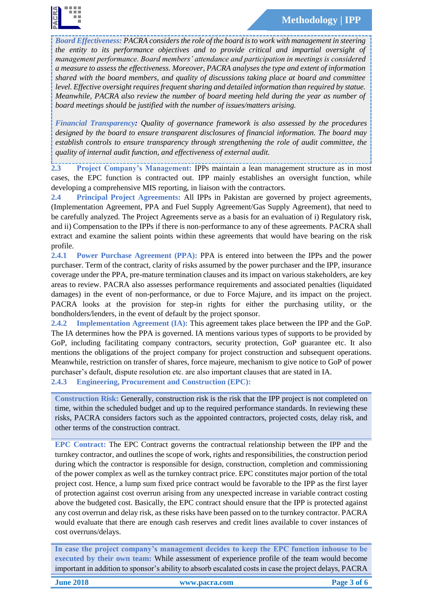

*Board Effectiveness: PACRA considers the role of the board is to work with management in steering the entity to its performance objectives and to provide critical and impartial oversight of management performance. Board members' attendance and participation in meetings is considered a measure to assess the effectiveness. Moreover, PACRA analyses the type and extent of information shared with the board members, and quality of discussions taking place at board and committee level. Effective oversight requires frequent sharing and detailed information than required by statue. Meanwhile, PACRA also review the number of board meeting held during the year as number of board meetings should be justified with the number of issues/matters arising.*

*Financial Transparency: Quality of governance framework is also assessed by the procedures designed by the board to ensure transparent disclosures of financial information. The board may establish controls to ensure transparency through strengthening the role of audit committee, the quality of internal audit function, and effectiveness of external audit.*

**2.3 Project Company's Management:** IPPs maintain a lean management structure as in most cases, the EPC function is contracted out. IPP mainly establishes an oversight function, while developing a comprehensive MIS reporting, in liaison with the contractors.

**2.4 Principal Project Agreements:** All IPPs in Pakistan are governed by project agreements, (Implementation Agreement, PPA and Fuel Supply Agreement/Gas Supply Agreement), that need to be carefully analyzed. The Project Agreements serve as a basis for an evaluation of i) Regulatory risk, and ii) Compensation to the IPPs if there is non-performance to any of these agreements. PACRA shall extract and examine the salient points within these agreements that would have bearing on the risk profile.

**2.4.1 Power Purchase Agreement (PPA):** PPA is entered into between the IPPs and the power purchaser. Term of the contract, clarity of risks assumed by the power purchaser and the IPP, insurance coverage under the PPA, pre-mature termination clauses and its impact on various stakeholders, are key areas to review. PACRA also assesses performance requirements and associated penalties (liquidated damages) in the event of non-performance, or due to Force Majure, and its impact on the project. PACRA looks at the provision for step-in rights for either the purchasing utility, or the bondholders/lenders, in the event of default by the project sponsor.

**2.4.2 Implementation Agreement (IA):** This agreement takes place between the IPP and the GoP. The IA determines how the PPA is governed. IA mentions various types of supports to be provided by GoP, including facilitating company contractors, security protection, GoP guarantee etc. It also mentions the obligations of the project company for project construction and subsequent operations. Meanwhile, restriction on transfer of shares, force majeure, mechanism to give notice to GoP of power purchaser's default, dispute resolution etc. are also important clauses that are stated in IA.

**2.4.3 Engineering, Procurement and Construction (EPC):**

**Construction Risk:** Generally, construction risk is the risk that the IPP project is not completed on time, within the scheduled budget and up to the required performance standards. In reviewing these risks, PACRA considers factors such as the appointed contractors, projected costs, delay risk, and other terms of the construction contract.

**EPC Contract:** The EPC Contract governs the contractual relationship between the IPP and the turnkey contractor, and outlines the scope of work, rights and responsibilities, the construction period during which the contractor is responsible for design, construction, completion and commissioning of the power complex as well as the turnkey contract price. EPC constitutes major portion of the total project cost. Hence, a lump sum fixed price contract would be favorable to the IPP as the first layer of protection against cost overrun arising from any unexpected increase in variable contract costing above the budgeted cost. Basically, the EPC contract should ensure that the IPP is protected against any cost overrun and delay risk, as these risks have been passed on to the turnkey contractor. PACRA would evaluate that there are enough cash reserves and credit lines available to cover instances of cost overruns/delays.

**In case the project company's management decides to keep the EPC function inhouse to be executed by their own team:** While assessment of experience profile of the team would become important in addition to sponsor's ability to absorb escalated costs in case the project delays, PACRA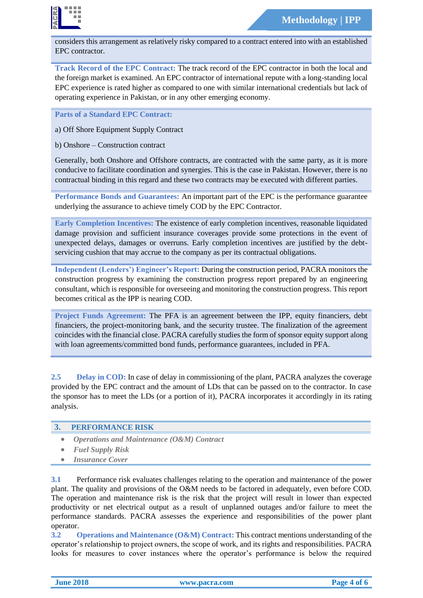

considers this arrangement as relatively risky compared to a contract entered into with an established EPC contractor.

**Track Record of the EPC Contract:** The track record of the EPC contractor in both the local and the foreign market is examined. An EPC contractor of international repute with a long-standing local EPC experience is rated higher as compared to one with similar international credentials but lack of operating experience in Pakistan, or in any other emerging economy.

**Parts of a Standard EPC Contract:** 

a) Off Shore Equipment Supply Contract

b) Onshore – Construction contract

Generally, both Onshore and Offshore contracts, are contracted with the same party, as it is more conducive to facilitate coordination and synergies. This is the case in Pakistan. However, there is no contractual binding in this regard and these two contracts may be executed with different parties.

**Performance Bonds and Guarantees:** An important part of the EPC is the performance guarantee underlying the assurance to achieve timely COD by the EPC Contractor.

**Early Completion Incentives:** The existence of early completion incentives, reasonable liquidated damage provision and sufficient insurance coverages provide some protections in the event of unexpected delays, damages or overruns. Early completion incentives are justified by the debtservicing cushion that may accrue to the company as per its contractual obligations.

**Independent (Lenders') Engineer's Report:** During the construction period, PACRA monitors the construction progress by examining the construction progress report prepared by an engineering consultant, which is responsible for overseeing and monitoring the construction progress. This report becomes critical as the IPP is nearing COD.

**Project Funds Agreement:** The PFA is an agreement between the IPP, equity financiers, debt financiers, the project-monitoring bank, and the security trustee. The finalization of the agreement coincides with the financial close. PACRA carefully studies the form of sponsor equity support along with loan agreements/committed bond funds, performance guarantees, included in PFA.

**2.5 Delay in COD:** In case of delay in commissioning of the plant, PACRA analyzes the coverage provided by the EPC contract and the amount of LDs that can be passed on to the contractor. In case the sponsor has to meet the LDs (or a portion of it), PACRA incorporates it accordingly in its rating analysis.

#### **3. PERFORMANCE RISK**

- *Operations and Maintenance (O&M) Contract*
- *Fuel Supply Risk*
- *Insurance Cover*

**3.1** Performance risk evaluates challenges relating to the operation and maintenance of the power plant. The quality and provisions of the O&M needs to be factored in adequately, even before COD. The operation and maintenance risk is the risk that the project will result in lower than expected productivity or net electrical output as a result of unplanned outages and/or failure to meet the performance standards. PACRA assesses the experience and responsibilities of the power plant operator.

**3.2 Operations and Maintenance (O&M) Contract:** This contract mentions understanding of the operator's relationship to project owners, the scope of work, and its rights and responsibilities. PACRA looks for measures to cover instances where the operator's performance is below the required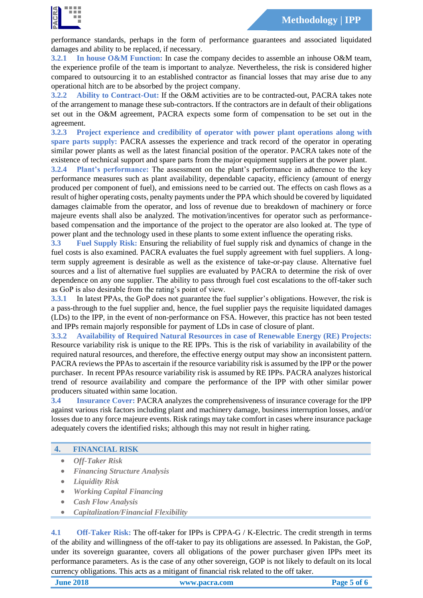performance standards, perhaps in the form of performance guarantees and associated liquidated damages and ability to be replaced, if necessary.

**3.2.1 In house O&M Function:** In case the company decides to assemble an inhouse O&M team, the experience profile of the team is important to analyze. Nevertheless, the risk is considered higher compared to outsourcing it to an established contractor as financial losses that may arise due to any operational hitch are to be absorbed by the project company.

**3.2.2 Ability to Contract-Out:** If the O&M activities are to be contracted-out, PACRA takes note of the arrangement to manage these sub-contractors. If the contractors are in default of their obligations set out in the O&M agreement, PACRA expects some form of compensation to be set out in the agreement.

**3.2.3 Project experience and credibility of operator with power plant operations along with spare parts supply:** PACRA assesses the experience and track record of the operator in operating similar power plants as well as the latest financial position of the operator. PACRA takes note of the existence of technical support and spare parts from the major equipment suppliers at the power plant.

**3.2.4 Plant's performance:** The assessment on the plant's performance in adherence to the key performance measures such as plant availability, dependable capacity, efficiency (amount of energy produced per component of fuel), and emissions need to be carried out. The effects on cash flows as a result of higher operating costs, penalty payments under the PPA which should be covered by liquidated damages claimable from the operator, and loss of revenue due to breakdown of machinery or force majeure events shall also be analyzed. The motivation/incentives for operator such as performancebased compensation and the importance of the project to the operator are also looked at. The type of power plant and the technology used in these plants to some extent influence the operating risks.

**3.3 Fuel Supply Risk:** Ensuring the reliability of fuel supply risk and dynamics of change in the fuel costs is also examined. PACRA evaluates the fuel supply agreement with fuel suppliers. A longterm supply agreement is desirable as well as the existence of take-or-pay clause. Alternative fuel sources and a list of alternative fuel supplies are evaluated by PACRA to determine the risk of over dependence on any one supplier. The ability to pass through fuel cost escalations to the off-taker such as GoP is also desirable from the rating's point of view.

**3.3.1** In latest PPAs, the GoP does not guarantee the fuel supplier's obligations. However, the risk is a pass-through to the fuel supplier and, hence, the fuel supplier pays the requisite liquidated damages (LDs) to the IPP, in the event of non-performance on FSA. However, this practice has not been tested and IPPs remain majorly responsible for payment of LDs in case of closure of plant.

**3.3.2 Availability of Required Natural Resources in case of Renewable Energy (RE) Projects:** Resource variability risk is unique to the RE IPPs. This is the risk of variability in availability of the required natural resources, and therefore, the effective energy output may show an inconsistent pattern. PACRA reviews the PPAs to ascertain if the resource variability risk is assumed by the IPP or the power purchaser. In recent PPAs resource variability risk is assumed by RE IPPs. PACRA analyzes historical trend of resource availability and compare the performance of the IPP with other similar power producers situated within same location.

**3.4 Insurance Cover:** PACRA analyzes the comprehensiveness of insurance coverage for the IPP against various risk factors including plant and machinery damage, business interruption losses, and/or losses due to any force majeure events. Risk ratings may take comfort in cases where insurance package adequately covers the identified risks; although this may not result in higher rating.

### **4. FINANCIAL RISK**

- *Off-Taker Risk*
- *Financing Structure Analysis*
- *Liquidity Risk*
- *Working Capital Financing*
- *Cash Flow Analysis*
- *Capitalization/Financial Flexibility*

**4.1 Off-Taker Risk:** The off-taker for IPPs is CPPA-G / K-Electric. The credit strength in terms of the ability and willingness of the off-taker to pay its obligations are assessed. In Pakistan, the GoP, under its sovereign guarantee, covers all obligations of the power purchaser given IPPs meet its performance parameters. As is the case of any other sovereign, GOP is not likely to default on its local currency obligations. This acts as a mitigant of financial risk related to the off taker.